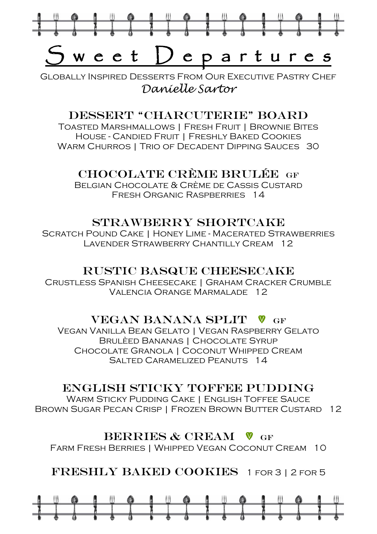

Globally Inspired Desserts From Our Executive Pastry Chef *Danielle Sartor*

#### Dessert "Charcuterie" Board

Toasted Marshmallows | Fresh Fruit | Brownie Bites House - Candied Fruit | Freshly Baked Cookies WARM CHURROS | TRIO OF DECADENT DIPPING SAUCES 30

#### CHOCOLATE CRÈME BRULÉE GF

Belgian Chocolate & Crème de Cassis Custard FRESH ORGANIC RASPBERRIES 14

#### STRAWBERRY SHORTCAKE

Scratch Pound Cake | Honey Lime - Macerated Strawberries Lavender Strawberry Chantilly Cream 12

#### RUSTIC BASQUE CHEESECAKE

Crustless Spanish Cheesecake | Graham Cracker Crumble Valencia Orange Marmalade 12

#### VEGAN BANANA SPLIT V GF

Vegan Vanilla Bean Gelato | Vegan Raspberry Gelato Brulèed Bananas | Chocolate Syrup Chocolate Granola | Coconut Whipped Cream SALTED CARAMELIZED PEANLITS 14

#### English Sticky Toffee Pudding

WARM STICKY PUDDING CAKE | ENGLISH TOFFEE SAUCE Brown Sugar Pecan Crisp | Frozen Brown Butter Custard 12

#### BERRIES  $\&$  CREAM  $\&$  GF

Farm Fresh Berries | Whipped Vegan Coconut Cream 10

Freshly Baked Cookies 1 for 3 | 2 for 5

|  |  |           |  |  |  |   | $\overline{\phantom{a}}$ |  |  |  |
|--|--|-----------|--|--|--|---|--------------------------|--|--|--|
|  |  |           |  |  |  |   |                          |  |  |  |
|  |  | $\bullet$ |  |  |  | ⊕ |                          |  |  |  |